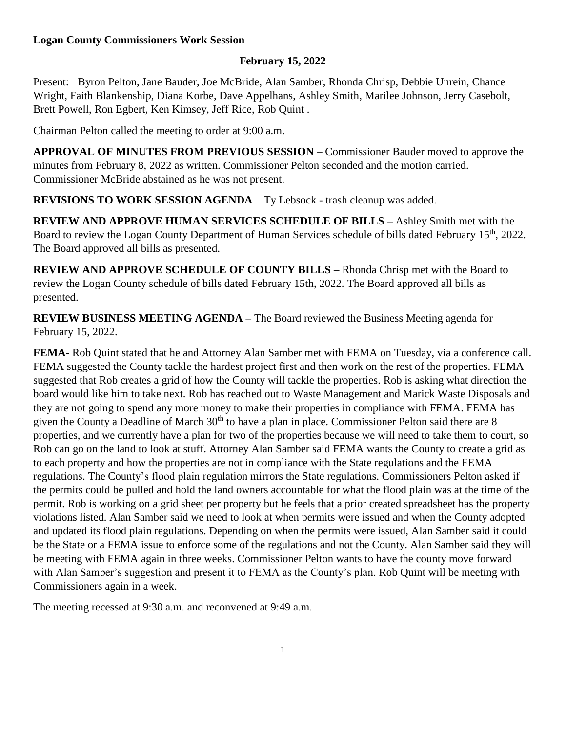## **Logan County Commissioners Work Session**

## **February 15, 2022**

Present: Byron Pelton, Jane Bauder, Joe McBride, Alan Samber, Rhonda Chrisp, Debbie Unrein, Chance Wright, Faith Blankenship, Diana Korbe, Dave Appelhans, Ashley Smith, Marilee Johnson, Jerry Casebolt, Brett Powell, Ron Egbert, Ken Kimsey, Jeff Rice, Rob Quint .

Chairman Pelton called the meeting to order at 9:00 a.m.

**APPROVAL OF MINUTES FROM PREVIOUS SESSION** – Commissioner Bauder moved to approve the minutes from February 8, 2022 as written. Commissioner Pelton seconded and the motion carried. Commissioner McBride abstained as he was not present.

**REVISIONS TO WORK SESSION AGENDA** – Ty Lebsock - trash cleanup was added.

**REVIEW AND APPROVE HUMAN SERVICES SCHEDULE OF BILLS –** Ashley Smith met with the Board to review the Logan County Department of Human Services schedule of bills dated February 15<sup>th</sup>, 2022. The Board approved all bills as presented.

**REVIEW AND APPROVE SCHEDULE OF COUNTY BILLS –** Rhonda Chrisp met with the Board to review the Logan County schedule of bills dated February 15th, 2022. The Board approved all bills as presented.

**REVIEW BUSINESS MEETING AGENDA –** The Board reviewed the Business Meeting agenda for February 15, 2022.

**FEMA**- Rob Quint stated that he and Attorney Alan Samber met with FEMA on Tuesday, via a conference call. FEMA suggested the County tackle the hardest project first and then work on the rest of the properties. FEMA suggested that Rob creates a grid of how the County will tackle the properties. Rob is asking what direction the board would like him to take next. Rob has reached out to Waste Management and Marick Waste Disposals and they are not going to spend any more money to make their properties in compliance with FEMA. FEMA has given the County a Deadline of March 30<sup>th</sup> to have a plan in place. Commissioner Pelton said there are 8 properties, and we currently have a plan for two of the properties because we will need to take them to court, so Rob can go on the land to look at stuff. Attorney Alan Samber said FEMA wants the County to create a grid as to each property and how the properties are not in compliance with the State regulations and the FEMA regulations. The County's flood plain regulation mirrors the State regulations. Commissioners Pelton asked if the permits could be pulled and hold the land owners accountable for what the flood plain was at the time of the permit. Rob is working on a grid sheet per property but he feels that a prior created spreadsheet has the property violations listed. Alan Samber said we need to look at when permits were issued and when the County adopted and updated its flood plain regulations. Depending on when the permits were issued, Alan Samber said it could be the State or a FEMA issue to enforce some of the regulations and not the County. Alan Samber said they will be meeting with FEMA again in three weeks. Commissioner Pelton wants to have the county move forward with Alan Samber's suggestion and present it to FEMA as the County's plan. Rob Quint will be meeting with Commissioners again in a week.

The meeting recessed at 9:30 a.m. and reconvened at 9:49 a.m.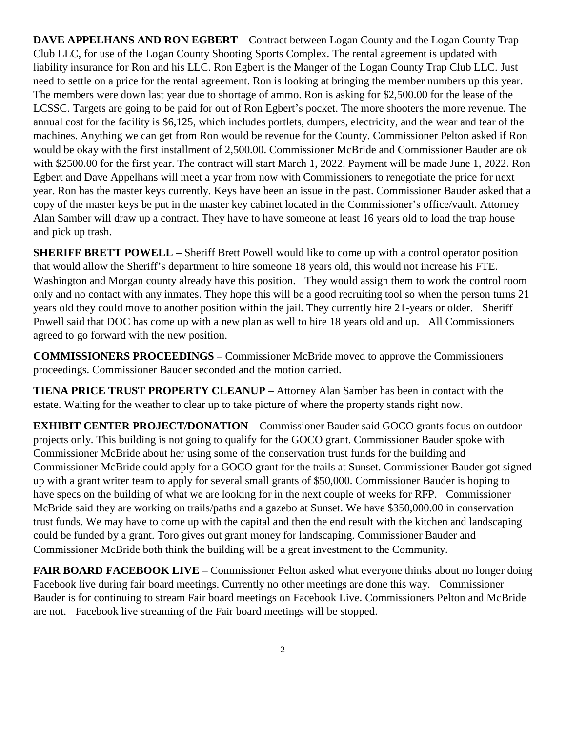**DAVE APPELHANS AND RON EGBERT** – Contract between Logan County and the Logan County Trap Club LLC, for use of the Logan County Shooting Sports Complex. The rental agreement is updated with liability insurance for Ron and his LLC. Ron Egbert is the Manger of the Logan County Trap Club LLC. Just need to settle on a price for the rental agreement. Ron is looking at bringing the member numbers up this year. The members were down last year due to shortage of ammo. Ron is asking for \$2,500.00 for the lease of the LCSSC. Targets are going to be paid for out of Ron Egbert's pocket. The more shooters the more revenue. The annual cost for the facility is \$6,125, which includes portlets, dumpers, electricity, and the wear and tear of the machines. Anything we can get from Ron would be revenue for the County. Commissioner Pelton asked if Ron would be okay with the first installment of 2,500.00. Commissioner McBride and Commissioner Bauder are ok with \$2500.00 for the first year. The contract will start March 1, 2022. Payment will be made June 1, 2022. Ron Egbert and Dave Appelhans will meet a year from now with Commissioners to renegotiate the price for next year. Ron has the master keys currently. Keys have been an issue in the past. Commissioner Bauder asked that a copy of the master keys be put in the master key cabinet located in the Commissioner's office/vault. Attorney Alan Samber will draw up a contract. They have to have someone at least 16 years old to load the trap house and pick up trash.

**SHERIFF BRETT POWELL –** Sheriff Brett Powell would like to come up with a control operator position that would allow the Sheriff's department to hire someone 18 years old, this would not increase his FTE. Washington and Morgan county already have this position. They would assign them to work the control room only and no contact with any inmates. They hope this will be a good recruiting tool so when the person turns 21 years old they could move to another position within the jail. They currently hire 21-years or older. Sheriff Powell said that DOC has come up with a new plan as well to hire 18 years old and up. All Commissioners agreed to go forward with the new position.

**COMMISSIONERS PROCEEDINGS –** Commissioner McBride moved to approve the Commissioners proceedings. Commissioner Bauder seconded and the motion carried.

**TIENA PRICE TRUST PROPERTY CLEANUP –** Attorney Alan Samber has been in contact with the estate. Waiting for the weather to clear up to take picture of where the property stands right now.

**EXHIBIT CENTER PROJECT/DONATION –** Commissioner Bauder said GOCO grants focus on outdoor projects only. This building is not going to qualify for the GOCO grant. Commissioner Bauder spoke with Commissioner McBride about her using some of the conservation trust funds for the building and Commissioner McBride could apply for a GOCO grant for the trails at Sunset. Commissioner Bauder got signed up with a grant writer team to apply for several small grants of \$50,000. Commissioner Bauder is hoping to have specs on the building of what we are looking for in the next couple of weeks for RFP. Commissioner McBride said they are working on trails/paths and a gazebo at Sunset. We have \$350,000.00 in conservation trust funds. We may have to come up with the capital and then the end result with the kitchen and landscaping could be funded by a grant. Toro gives out grant money for landscaping. Commissioner Bauder and Commissioner McBride both think the building will be a great investment to the Community.

**FAIR BOARD FACEBOOK LIVE – Commissioner Pelton asked what everyone thinks about no longer doing** Facebook live during fair board meetings. Currently no other meetings are done this way. Commissioner Bauder is for continuing to stream Fair board meetings on Facebook Live. Commissioners Pelton and McBride are not. Facebook live streaming of the Fair board meetings will be stopped.